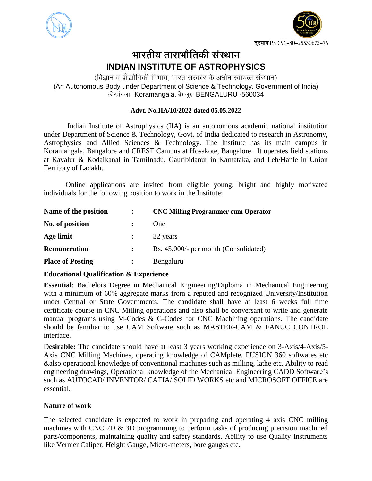



# भारतीय ताराभौतिकी सं**स्था**न **INDIAN INSTITUTE OF ASTROPHYSICS**

(विज्ञान व प्रौद्योगिकी विभाग, भारत सरकार के अधीन स्वायत्त संस्थान) (An Autonomous Body under Department of Science & Technology, Government of India) कोरमंगला Koramangala, बेंगलूरु BENGALURU -560034

#### **Advt. No.IIA/10/2022 dated 05.05.2022**

Indian Institute of Astrophysics (IIA) is an autonomous academic national institution under Department of Science & Technology, Govt. of India dedicated to research in Astronomy, Astrophysics and Allied Sciences & Technology. The Institute has its main campus in Koramangala, Bangalore and CREST Campus at Hosakote, Bangalore. It operates field stations at Kavalur & Kodaikanal in Tamilnadu, Gauribidanur in Karnataka, and Leh/Hanle in Union Territory of Ladakh.

Online applications are invited from eligible young, bright and highly motivated individuals for the following position to work in the Institute:

| Name of the position    | <b>CNC Milling Programmer cum Operator</b> |
|-------------------------|--------------------------------------------|
| No. of position         | One                                        |
| Age limit               | 32 years                                   |
| <b>Remuneration</b>     | Rs. 45,000/- per month (Consolidated)      |
| <b>Place of Posting</b> | Bengaluru                                  |

### **Educational Qualification & Experience**

**Essential**: Bachelors Degree in Mechanical Engineering/Diploma in Mechanical Engineering with a minimum of 60% aggregate marks from a reputed and recognized University/Institution under Central or State Governments. The candidate shall have at least 6 weeks full time certificate course in CNC Milling operations and also shall be conversant to write and generate manual programs using M-Codes & G-Codes for CNC Machining operations. The candidate should be familiar to use CAM Software such as MASTER-CAM & FANUC CONTROL interface.

D**esirable:** The candidate should have at least 3 years working experience on 3-Axis/4-Axis/5- Axis CNC Milling Machines, operating knowledge of CAMplete, FUSION 360 softwares etc &also operational knowledge of conventional machines such as milling, lathe etc. Ability to read engineering drawings, Operational knowledge of the Mechanical Engineering CADD Software's such as AUTOCAD/ INVENTOR/ CATIA/ SOLID WORKS etc and MICROSOFT OFFICE are essential.

### **Nature of work**

The selected candidate is expected to work in preparing and operating 4 axis CNC milling machines with CNC 2D & 3D programming to perform tasks of producing precision machined parts/components, maintaining quality and safety standards. Ability to use Quality Instruments like Vernier Caliper, Height Gauge, Micro-meters, bore gauges etc.